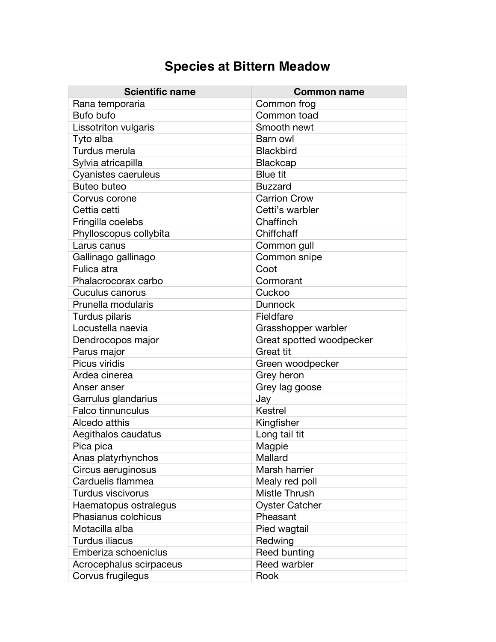## **Species at Bittern Meadow**

| <b>Scientific name</b>      | <b>Common name</b>       |
|-----------------------------|--------------------------|
| Rana temporaria             | Common frog              |
| Bufo bufo                   | Common toad              |
| <b>Lissotriton vulgaris</b> | Smooth newt              |
| Tyto alba                   | Barn owl                 |
| Turdus merula               | <b>Blackbird</b>         |
| Sylvia atricapilla          | <b>Blackcap</b>          |
| <b>Cyanistes caeruleus</b>  | <b>Blue tit</b>          |
| <b>Buteo buteo</b>          | <b>Buzzard</b>           |
| Corvus corone               | <b>Carrion Crow</b>      |
| Cettia cetti                | Cetti's warbler          |
| Fringilla coelebs           | Chaffinch                |
| Phylloscopus collybita      | Chiffchaff               |
| Larus canus                 | Common gull              |
| Gallinago gallinago         | Common snipe             |
| Fulica atra                 | Coot                     |
| Phalacrocorax carbo         | Cormorant                |
| Cuculus canorus             | Cuckoo                   |
| Prunella modularis          | <b>Dunnock</b>           |
| Turdus pilaris              | Fieldfare                |
| Locustella naevia           | Grasshopper warbler      |
| Dendrocopos major           | Great spotted woodpecker |
| Parus major                 | <b>Great tit</b>         |
| Picus viridis               | Green woodpecker         |
| Ardea cinerea               | Grey heron               |
| Anser anser                 | Grey lag goose           |
| Garrulus glandarius         | Jay                      |
| <b>Falco tinnunculus</b>    | Kestrel                  |
| Alcedo atthis               | Kingfisher               |
| Aegithalos caudatus         | Long tail tit            |
| Pica pica                   | Magpie                   |
| Anas platyrhynchos          | Mallard                  |
| Circus aeruginosus          | Marsh harrier            |
| Carduelis flammea           | Mealy red poll           |
| Turdus viscivorus           | Mistle Thrush            |
| Haematopus ostralegus       | <b>Oyster Catcher</b>    |
| Phasianus colchicus         | Pheasant                 |
| Motacilla alba              | Pied wagtail             |
| Turdus iliacus              | Redwing                  |
| Emberiza schoeniclus        | Reed bunting             |
| Acrocephalus scirpaceus     | Reed warbler             |
| Corvus frugilegus           | Rook                     |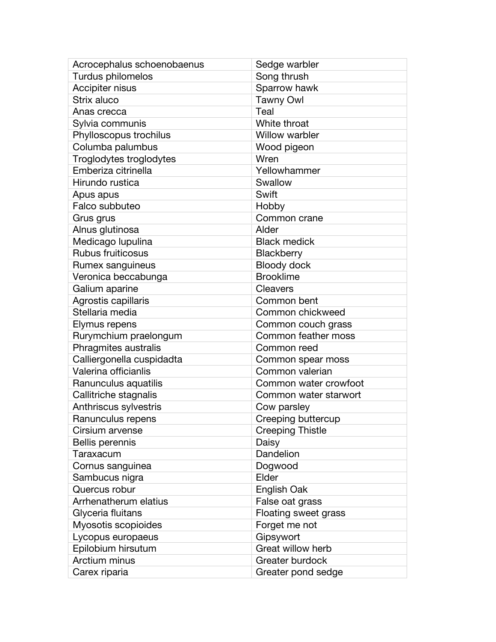| Acrocephalus schoenobaenus | Sedge warbler           |
|----------------------------|-------------------------|
| Turdus philomelos          | Song thrush             |
| Accipiter nisus            | Sparrow hawk            |
| Strix aluco                | <b>Tawny Owl</b>        |
| Anas crecca                | Teal                    |
| Sylvia communis            | White throat            |
| Phylloscopus trochilus     | <b>Willow warbler</b>   |
| Columba palumbus           | Wood pigeon             |
| Troglodytes troglodytes    | Wren                    |
| Emberiza citrinella        | Yellowhammer            |
| Hirundo rustica            | Swallow                 |
| Apus apus                  | Swift                   |
| Falco subbuteo             | Hobby                   |
| Grus grus                  | Common crane            |
| Alnus glutinosa            | Alder                   |
| Medicago lupulina          | <b>Black medick</b>     |
| <b>Rubus fruiticosus</b>   | Blackberry              |
| Rumex sanguineus           | <b>Bloody dock</b>      |
| Veronica beccabunga        | <b>Brooklime</b>        |
| Galium aparine             | Cleavers                |
| Agrostis capillaris        | Common bent             |
| Stellaria media            | Common chickweed        |
| Elymus repens              | Common couch grass      |
| Rurymchium praelongum      | Common feather moss     |
| Phragmites australis       | Common reed             |
| Calliergonella cuspidadta  | Common spear moss       |
| Valerina officianlis       | Common valerian         |
| Ranunculus aquatilis       | Common water crowfoot   |
| Callitriche stagnalis      | Common water starwort   |
| Anthriscus sylvestris      | Cow parsley             |
| Ranunculus repens          | Creeping buttercup      |
| Cirsium arvense            | <b>Creeping Thistle</b> |
| Bellis perennis            | Daisy                   |
| Taraxacum                  | Dandelion               |
| Cornus sanguinea           | Dogwood                 |
| Sambucus nigra             | Elder                   |
| Quercus robur              | English Oak             |
| Arrhenatherum elatius      | False oat grass         |
| Glyceria fluitans          | Floating sweet grass    |
| Myosotis scopioides        | Forget me not           |
| Lycopus europaeus          | Gipsywort               |
| Epilobium hirsutum         | Great willow herb       |
| Arctium minus              | Greater burdock         |
| Carex riparia              | Greater pond sedge      |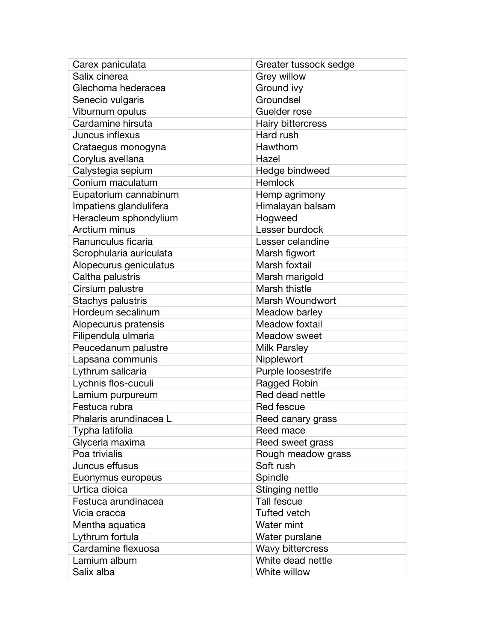| Carex paniculata        | Greater tussock sedge |
|-------------------------|-----------------------|
| Salix cinerea           | Grey willow           |
| Glechoma hederacea      | Ground ivy            |
| Senecio vulgaris        | Groundsel             |
| Viburnum opulus         | Guelder rose          |
| Cardamine hirsuta       | Hairy bittercress     |
| Juncus inflexus         | Hard rush             |
| Crataegus monogyna      | Hawthorn              |
| Corylus avellana        | Hazel                 |
| Calystegia sepium       | Hedge bindweed        |
| Conium maculatum        | Hemlock               |
| Eupatorium cannabinum   | Hemp agrimony         |
| Impatiens glandulifera  | Himalayan balsam      |
| Heracleum sphondylium   | Hogweed               |
| Arctium minus           | Lesser burdock        |
| Ranunculus ficaria      | Lesser celandine      |
| Scrophularia auriculata | Marsh figwort         |
| Alopecurus geniculatus  | Marsh foxtail         |
| Caltha palustris        | Marsh marigold        |
| Cirsium palustre        | Marsh thistle         |
| Stachys palustris       | Marsh Woundwort       |
| Hordeum secalinum       | Meadow barley         |
| Alopecurus pratensis    | Meadow foxtail        |
| Filipendula ulmaria     | Meadow sweet          |
| Peucedanum palustre     | <b>Milk Parsley</b>   |
| Lapsana communis        | Nipplewort            |
| Lythrum salicaria       | Purple loosestrife    |
| Lychnis flos-cuculi     | Ragged Robin          |
| Lamium purpureum        | Red dead nettle       |
| Festuca rubra           | Red fescue            |
| Phalaris arundinacea L  | Reed canary grass     |
| Typha latifolia         | Reed mace             |
| Glyceria maxima         | Reed sweet grass      |
| Poa trivialis           | Rough meadow grass    |
| Juncus effusus          | Soft rush             |
| Euonymus europeus       | Spindle               |
| Urtica dioica           | Stinging nettle       |
| Festuca arundinacea     | <b>Tall fescue</b>    |
| Vicia cracca            | <b>Tufted vetch</b>   |
| Mentha aquatica         | Water mint            |
| Lythrum fortula         | Water purslane        |
| Cardamine flexuosa      | Wavy bittercress      |
| Lamium album            | White dead nettle     |
| Salix alba              | White willow          |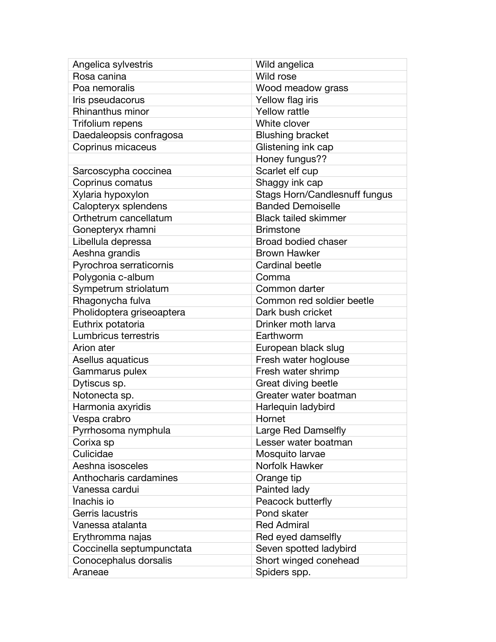| Angelica sylvestris       | Wild angelica                 |
|---------------------------|-------------------------------|
| Rosa canina               | Wild rose                     |
| Poa nemoralis             | Wood meadow grass             |
| Iris pseudacorus          | Yellow flag iris              |
| <b>Rhinanthus minor</b>   | <b>Yellow rattle</b>          |
| Trifolium repens          | White clover                  |
| Daedaleopsis confragosa   | <b>Blushing bracket</b>       |
| Coprinus micaceus         | Glistening ink cap            |
|                           | Honey fungus??                |
| Sarcoscypha coccinea      | Scarlet elf cup               |
| Coprinus comatus          | Shaggy ink cap                |
| Xylaria hypoxylon         | Stags Horn/Candlesnuff fungus |
| Calopteryx splendens      | <b>Banded Demoiselle</b>      |
| Orthetrum cancellatum     | <b>Black tailed skimmer</b>   |
| Gonepteryx rhamni         | <b>Brimstone</b>              |
| Libellula depressa        | <b>Broad bodied chaser</b>    |
| Aeshna grandis            | <b>Brown Hawker</b>           |
| Pyrochroa serraticornis   | <b>Cardinal beetle</b>        |
| Polygonia c-album         | Comma                         |
| Sympetrum striolatum      | Common darter                 |
| Rhagonycha fulva          | Common red soldier beetle     |
| Pholidoptera griseoaptera | Dark bush cricket             |
| Euthrix potatoria         | Drinker moth larva            |
| Lumbricus terrestris      | Earthworm                     |
| Arion ater                | European black slug           |
| Asellus aquaticus         | Fresh water hoglouse          |
| Gammarus pulex            | Fresh water shrimp            |
| Dytiscus sp.              | Great diving beetle           |
| Notonecta sp.             | Greater water boatman         |
| Harmonia axyridis         | Harlequin ladybird            |
| Vespa crabro              | Hornet                        |
| Pyrrhosoma nymphula       | Large Red Damselfly           |
| Corixa sp                 | Lesser water boatman          |
| Culicidae                 | Mosquito larvae               |
| Aeshna isosceles          | Norfolk Hawker                |
| Anthocharis cardamines    | Orange tip                    |
| Vanessa cardui            | Painted lady                  |
| Inachis io                | Peacock butterfly             |
| Gerris lacustris          | Pond skater                   |
| Vanessa atalanta          | <b>Red Admiral</b>            |
| Erythromma najas          | Red eyed damselfly            |
| Coccinella septumpunctata | Seven spotted ladybird        |
| Conocephalus dorsalis     | Short winged conehead         |
| Araneae                   | Spiders spp.                  |